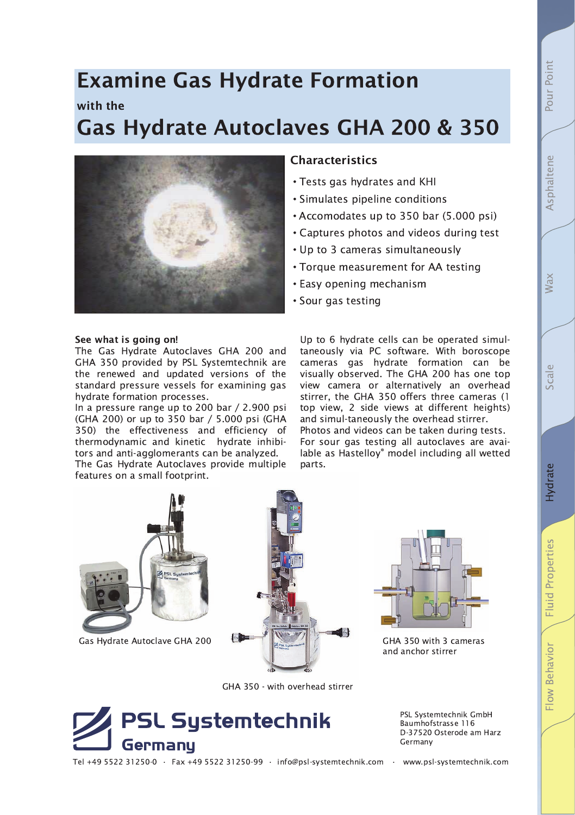# **Examine Gas Hydrate Formation** with the **Gas Hydrate Autoclaves GHA 200 & 350**



## See what is going on!

The Gas Hydrate Autoclaves GHA 200 and GHA 350 provided by PSL Systemtechnik are the renewed and updated versions of the standard pressure vessels for examining gas hydrate formation processes.

In a pressure range up to 200 bar / 2.900 psi (GHA 200) or up to 350 bar / 5.000 psi (GHA 350) the effectiveness and efficiency of thermodynamic and kinetic hydrate inhibitors and anti-agglomerants can be analyzed.

The Gas Hydrate Autoclaves provide multiple features on a small footprint.

# **Characteristics**

- Tests gas hydrates and KHI
- · Simulates pipeline conditions
- Accomodates up to 350 bar (5.000 psi)
- Captures photos and videos during test
- Up to 3 cameras simultaneously
- Torque measurement for AA testing
- Easy opening mechanism
- Sour gas testing

Up to 6 hydrate cells can be operated simultaneously via PC software. With boroscope cameras gas hydrate formation can be visually observed. The GHA 200 has one top view camera or alternatively an overhead stirrer, the GHA 350 offers three cameras (1) top view, 2 side views at different heights) and simul-taneously the overhead stirrer. Photos and videos can be taken during tests. For sour gas testing all autoclaves are available as Hastelloy® model including all wetted parts.



Gas Hydrate Autoclave GHA 200



GHA 350 - with overhead stirrer



PSL Systemtechnik GmbH Baumhofstrasse 116 D-37520 Osterode am Harz Germany

GHA 350 with 3 cameras

and anchor stirrer

- -